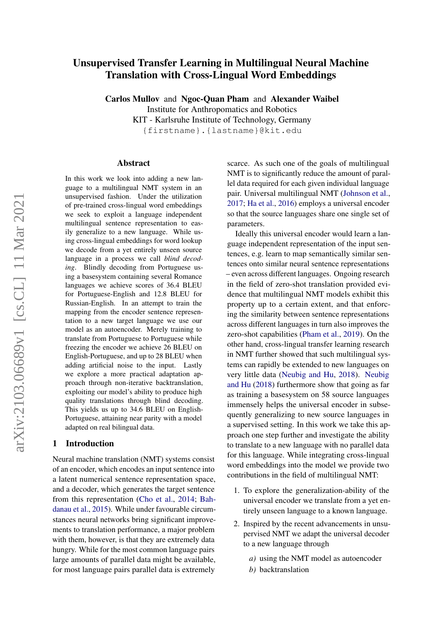# Unsupervised Transfer Learning in Multilingual Neural Machine Translation with Cross-Lingual Word Embeddings

Carlos Mullov and Ngoc-Quan Pham and Alexander Waibel

Institute for Anthropomatics and Robotics

KIT - Karlsruhe Institute of Technology, Germany

{firstname}.{lastname}@kit.edu

#### Abstract

In this work we look into adding a new language to a multilingual NMT system in an unsupervised fashion. Under the utilization of pre-trained cross-lingual word embeddings we seek to exploit a language independent multilingual sentence representation to easily generalize to a new language. While using cross-lingual embeddings for word lookup we decode from a yet entirely unseen source language in a process we call *blind decoding*. Blindly decoding from Portuguese using a basesystem containing several Romance languages we achieve scores of 36.4 BLEU for Portuguese-English and 12.8 BLEU for Russian-English. In an attempt to train the mapping from the encoder sentence representation to a new target language we use our model as an autoencoder. Merely training to translate from Portuguese to Portuguese while freezing the encoder we achieve 26 BLEU on English-Portuguese, and up to 28 BLEU when adding artificial noise to the input. Lastly we explore a more practical adaptation approach through non-iterative backtranslation, exploiting our model's ability to produce high quality translations through blind decoding. This yields us up to 34.6 BLEU on English-Portuguese, attaining near parity with a model adapted on real bilingual data.

#### 1 Introduction

Neural machine translation (NMT) systems consist of an encoder, which encodes an input sentence into a latent numerical sentence representation space, and a decoder, which generates the target sentence from this representation [\(Cho et al.,](#page-8-0) [2014;](#page-8-0) [Bah](#page-8-1)[danau et al.,](#page-8-1) [2015\)](#page-8-1). While under favourable circumstances neural networks bring significant improvements to translation performance, a major problem with them, however, is that they are extremely data hungry. While for the most common language pairs large amounts of parallel data might be available, for most language pairs parallel data is extremely

scarce. As such one of the goals of multilingual NMT is to significantly reduce the amount of parallel data required for each given individual language pair. Universal multilingual NMT [\(Johnson et al.,](#page-8-2) [2017;](#page-8-2) [Ha et al.,](#page-8-3) [2016\)](#page-8-3) employs a universal encoder so that the source languages share one single set of parameters.

Ideally this universal encoder would learn a language independent representation of the input sentences, e.g. learn to map semantically similar sentences onto similar neural sentence representations – even across different languages. Ongoing research in the field of zero-shot translation provided evidence that multilingual NMT models exhibit this property up to a certain extent, and that enforcing the similarity between sentence representations across different languages in turn also improves the zero-shot capabilities [\(Pham et al.,](#page-9-0) [2019\)](#page-9-0). On the other hand, cross-lingual transfer learning research in NMT further showed that such multilingual systems can rapidly be extended to new languages on very little data [\(Neubig and Hu,](#page-8-4) [2018\)](#page-8-4). [Neubig](#page-8-4) [and Hu](#page-8-4) [\(2018\)](#page-8-4) furthermore show that going as far as training a basesystem on 58 source languages immensely helps the universal encoder in subsequently generalizing to new source languages in a supervised setting. In this work we take this approach one step further and investigate the ability to translate to a new language with no parallel data for this language. While integrating cross-lingual word embeddings into the model we provide two contributions in the field of multilingual NMT:

- 1. To explore the generalization-ability of the universal encoder we translate from a yet entirely unseen language to a known language.
- 2. Inspired by the recent advancements in unsupervised NMT we adapt the universal decoder to a new language through
	- *a)* using the NMT model as autoencoder
	- *b)* backtranslation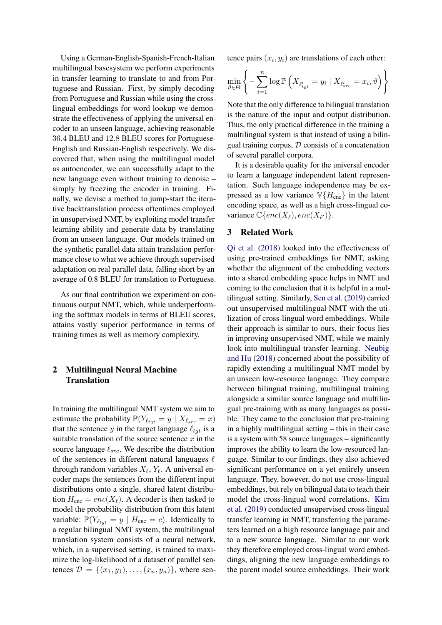Using a German-English-Spanish-French-Italian multilingual basesystem we perform experiments in transfer learning to translate to and from Portuguese and Russian. First, by simply decoding from Portuguese and Russian while using the crosslingual embeddings for word lookup we demonstrate the effectiveness of applying the universal encoder to an unseen language, achieving reasonable 36.4 BLEU and 12.8 BLEU scores for Portuguese-English and Russian-English respectively. We discovered that, when using the multilingual model as autoencoder, we can successfully adapt to the new language even without training to denoise – simply by freezing the encoder in training. Finally, we devise a method to jump-start the iterative backtranslation process oftentimes employed in unsupervised NMT, by exploiting model transfer learning ability and generate data by translating from an unseen language. Our models trained on the synthetic parallel data attain translation performance close to what we achieve through supervised adaptation on real parallel data, falling short by an average of 0.8 BLEU for translation to Portuguese.

As our final contribution we experiment on continuous output NMT, which, while underperforming the softmax models in terms of BLEU scores, attains vastly superior performance in terms of training times as well as memory complexity.

# 2 Multilingual Neural Machine Translation

In training the multilingual NMT system we aim to estimate the probability  $\mathbb{P}(Y_{\ell_{tot}} = y \mid X_{\ell_{src}} = x)$ that the sentence y in the target language  $\ell_{tqt}$  is a suitable translation of the source sentence  $x$  in the source language  $\ell_{src}$ . We describe the distribution of the sentences in different natural languages  $\ell$ through random variables  $X_{\ell}$ ,  $Y_{\ell}$ . A universal encoder maps the sentences from the different input distributions onto a single, shared latent distribution  $H_{\text{enc}} = enc(X_{\ell})$ . A decoder is then tasked to model the probability distribution from this latent variable:  $\mathbb{P}(Y_{\ell_{tot}} = y \mid H_{\text{enc}} = c)$ . Identically to a regular bilingual NMT system, the multilingual translation system consists of a neural network, which, in a supervised setting, is trained to maximize the log-likelihood of a dataset of parallel sentences  $D = \{(x_1, y_1), \ldots, (x_n, y_n)\}\,$  where sentence pairs  $(x_i, y_i)$  are translations of each other:

$$
\min_{\vartheta \in \Theta} \left\{-\sum_{i=1}^{n} \log \mathbb{P}\left(X_{\ell_{tgt}^{i}} = y_i \mid X_{\ell_{src}^{i}} = x_i, \vartheta\right)\right\}
$$

Note that the only difference to bilingual translation is the nature of the input and output distribution. Thus, the only practical difference in the training a multilingual system is that instead of using a bilingual training corpus,  $D$  consists of a concatenation of several parallel corpora.

It is a desirable quality for the universal encoder to learn a language independent latent representation. Such language independence may be expressed as a low variance  $\mathbb{V}\lbrace H_{\text{enc}} \rbrace$  in the latent encoding space, as well as a high cross-lingual covariance  $\mathbb{C}\lbrace enc(X_{\ell}), enc(X_{\ell'})\rbrace.$ 

## 3 Related Work

[Qi et al.](#page-9-1) [\(2018\)](#page-9-1) looked into the effectiveness of using pre-trained embeddings for NMT, asking whether the alignment of the embedding vectors into a shared embedding space helps in NMT and coming to the conclusion that it is helpful in a multilingual setting. Similarly, [Sen et al.](#page-9-2) [\(2019\)](#page-9-2) carried out unsupervised multilingual NMT with the utilization of cross-lingual word embeddings. While their approach is similar to ours, their focus lies in improving unsupervised NMT, while we mainly look into multilingual transfer learning. [Neubig](#page-8-4) [and Hu](#page-8-4) [\(2018\)](#page-8-4) concerned about the possibility of rapidly extending a multilingual NMT model by an unseen low-resource language. They compare between bilingual training, multilingual training alongside a similar source language and multilingual pre-training with as many languages as possible. They came to the conclusion that pre-training in a highly multilingual setting – this in their case is a system with 58 source languages – significantly improves the ability to learn the low-resourced language. Similar to our findings, they also achieved significant performance on a yet entirely unseen language. They, however, do not use cross-lingual embeddings, but rely on bilingual data to teach their model the cross-lingual word correlations. [Kim](#page-8-5) [et al.](#page-8-5) [\(2019\)](#page-8-5) conducted unsupervised cross-lingual transfer learning in NMT, transferring the parameters learned on a high resource language pair and to a new source language. Similar to our work they therefore employed cross-lingual word embeddings, aligning the new language embeddings to the parent model source embeddings. Their work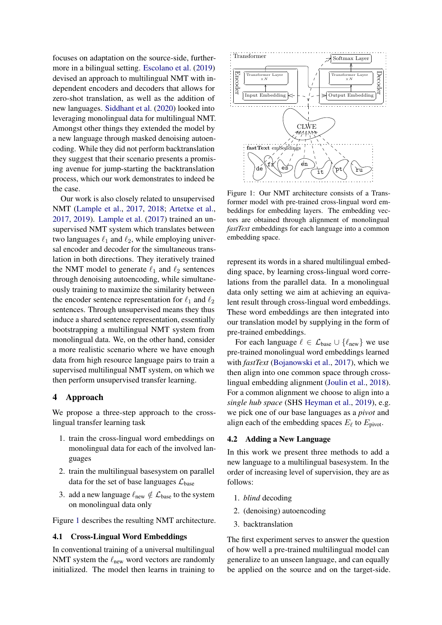focuses on adaptation on the source-side, furthermore in a bilingual setting. [Escolano et al.](#page-8-6) [\(2019\)](#page-8-6) devised an approach to multilingual NMT with independent encoders and decoders that allows for zero-shot translation, as well as the addition of new languages. [Siddhant et al.](#page-9-3) [\(2020\)](#page-9-3) looked into leveraging monolingual data for multilingual NMT. Amongst other things they extended the model by a new language through masked denoising autoencoding. While they did not perform backtranslation they suggest that their scenario presents a promising avenue for jump-starting the backtranslation process, which our work demonstrates to indeed be the case.

Our work is also closely related to unsupervised NMT [\(Lample et al.,](#page-8-7) [2017,](#page-8-7) [2018;](#page-8-8) [Artetxe et al.,](#page-8-9) [2017,](#page-8-9) [2019\)](#page-8-10). [Lample et al.](#page-8-7) [\(2017\)](#page-8-7) trained an unsupervised NMT system which translates between two languages  $\ell_1$  and  $\ell_2$ , while employing universal encoder and decoder for the simultaneous translation in both directions. They iteratively trained the NMT model to generate  $\ell_1$  and  $\ell_2$  sentences through denoising autoencoding, while simultaneously training to maximize the similarity between the encoder sentence representation for  $\ell_1$  and  $\ell_2$ sentences. Through unsupervised means they thus induce a shared sentence representation, essentially bootstrapping a multilingual NMT system from monolingual data. We, on the other hand, consider a more realistic scenario where we have enough data from high resource language pairs to train a supervised multilingual NMT system, on which we then perform unsupervised transfer learning.

## 4 Approach

We propose a three-step approach to the crosslingual transfer learning task

- 1. train the cross-lingual word embeddings on monolingual data for each of the involved languages
- 2. train the multilingual basesystem on parallel data for the set of base languages  $\mathcal{L}_{base}$
- 3. add a new language  $\ell_{\text{new}} \notin \mathcal{L}_{\text{base}}$  to the system on monolingual data only

Figure [1](#page-2-0) describes the resulting NMT architecture.

# <span id="page-2-1"></span>4.1 Cross-Lingual Word Embeddings

In conventional training of a universal multilingual NMT system the  $\ell_{\text{new}}$  word vectors are randomly initialized. The model then learns in training to

<span id="page-2-0"></span>

Figure 1: Our NMT architecture consists of a Transformer model with pre-trained cross-lingual word embeddings for embedding layers. The embedding vectors are obtained through alignment of monolingual *fastText* embeddings for each language into a common embedding space.

represent its words in a shared multilingual embedding space, by learning cross-lingual word correlations from the parallel data. In a monolingual data only setting we aim at achieving an equivalent result through cross-lingual word embeddings. These word embeddings are then integrated into our translation model by supplying in the form of pre-trained embeddings.

For each language  $\ell \in \mathcal{L}_{base} \cup \{\ell_{new}\}\$  we use pre-trained monolingual word embeddings learned with *fastText* [\(Bojanowski et al.,](#page-8-11) [2017\)](#page-8-11), which we then align into one common space through crosslingual embedding alignment [\(Joulin et al.,](#page-8-12) [2018\)](#page-8-12). For a common alignment we choose to align into a *single hub space* (SHS [Heyman et al.,](#page-8-13) [2019\)](#page-8-13), e.g. we pick one of our base languages as a *pivot* and align each of the embedding spaces  $E_\ell$  to  $E_{\text{pivot}}$ .

### 4.2 Adding a New Language

In this work we present three methods to add a new language to a multilingual basesystem. In the order of increasing level of supervision, they are as follows:

- 1. *blind* decoding
- 2. (denoising) autoencoding
- 3. backtranslation

The first experiment serves to answer the question of how well a pre-trained multilingual model can generalize to an unseen language, and can equally be applied on the source and on the target-side.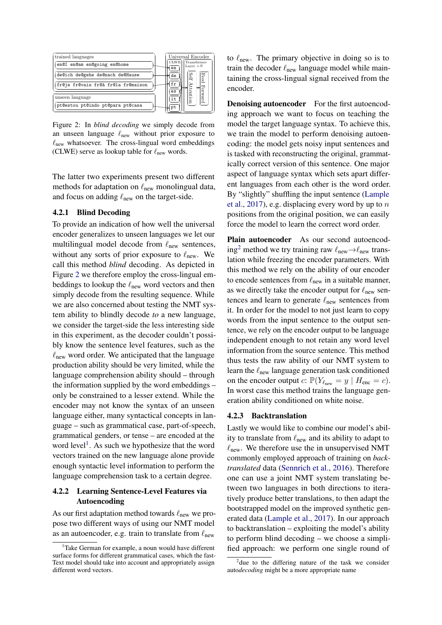<span id="page-3-0"></span>

Figure 2: In *blind decoding* we simply decode from an unseen language  $\ell_{\text{new}}$  without prior exposure to  $\ell_{\text{new}}$  whatsoever. The cross-lingual word embeddings (CLWE) serve as lookup table for  $\ell_{\text{new}}$  words.

The latter two experiments present two different methods for adaptation on  $\ell_{\text{new}}$  monolingual data, and focus on adding  $\ell_{\text{new}}$  on the target-side.

### 4.2.1 Blind Decoding

To provide an indication of how well the universal encoder generalizes to unseen languages we let our multilingual model decode from  $\ell_{\text{new}}$  sentences, without any sorts of prior exposure to  $\ell_{\text{new}}$ . We call this method *blind* decoding. As depicted in Figure [2](#page-3-0) we therefore employ the cross-lingual embeddings to lookup the  $\ell_{\text{new}}$  word vectors and then simply decode from the resulting sequence. While we are also concerned about testing the NMT system ability to blindly decode *to* a new language, we consider the target-side the less interesting side in this experiment, as the decoder couldn't possibly know the sentence level features, such as the  $\ell_{\text{new}}$  word order. We anticipated that the language production ability should be very limited, while the language comprehension ability should – through the information supplied by the word embeddings – only be constrained to a lesser extend. While the encoder may not know the syntax of an unseen language either, many syntactical concepts in language – such as grammatical case, part-of-speech, grammatical genders, or tense – are encoded at the word level<sup>[1](#page-3-1)</sup>. As such we hypothesize that the word vectors trained on the new language alone provide enough syntactic level information to perform the language comprehension task to a certain degree.

## 4.2.2 Learning Sentence-Level Features via Autoencoding

As our first adaptation method towards  $\ell_{\text{new}}$  we propose two different ways of using our NMT model as an autoencoder, e.g. train to translate from  $\ell_{\text{new}}$ 

to  $\ell_{\text{new}}$ . The primary objective in doing so is to train the decoder  $\ell_{\text{new}}$  language model while maintaining the cross-lingual signal received from the encoder.

**Denoising autoencoder** For the first autoencoding approach we want to focus on teaching the model the target language syntax. To achieve this, we train the model to perform denoising autoencoding: the model gets noisy input sentences and is tasked with reconstructing the original, grammatically correct version of this sentence. One major aspect of language syntax which sets apart different languages from each other is the word order. By "slightly" shuffling the input sentence [\(Lample](#page-8-7) [et al.,](#page-8-7) [2017\)](#page-8-7), e.g. displacing every word by up to  $n$ positions from the original position, we can easily force the model to learn the correct word order.

Plain autoencoder As our second autoencod-ing<sup>[2](#page-3-2)</sup> method we try training raw  $\ell_{\text{new}} \rightarrow \ell_{\text{new}}$  translation while freezing the encoder parameters. With this method we rely on the ability of our encoder to encode sentences from  $\ell_{\text{new}}$  in a suitable manner, as we directly take the encoder output for  $\ell_{\text{new}}$  sentences and learn to generate  $\ell_{\text{new}}$  sentences from it. In order for the model to not just learn to copy words from the input sentence to the output sentence, we rely on the encoder output to be language independent enough to not retain any word level information from the source sentence. This method thus tests the raw ability of our NMT system to learn the  $\ell_{\text{new}}$  language generation task conditioned on the encoder output  $c: \mathbb{P}(Y_{\ell_{\text{new}}} = y \mid H_{\text{enc}} = c).$ In worst case this method trains the language generation ability conditioned on white noise.

#### 4.2.3 Backtranslation

Lastly we would like to combine our model's ability to translate from  $\ell_{\text{new}}$  and its ability to adapt to  $\ell_{\text{new}}$ . We therefore use the in unsupervised NMT commonly employed approach of training on *backtranslated* data [\(Sennrich et al.,](#page-9-4) [2016\)](#page-9-4). Therefore one can use a joint NMT system translating between two languages in both directions to iteratively produce better translations, to then adapt the bootstrapped model on the improved synthetic generated data [\(Lample et al.,](#page-8-7) [2017\)](#page-8-7). In our approach to backtranslation – exploiting the model's ability to perform blind decoding – we choose a simplified approach: we perform one single round of

<span id="page-3-1"></span>Take German for example, a noun would have different surface forms for different grammatical cases, which the fast-Text model should take into account and appropriately assign different word vectors.

<span id="page-3-2"></span><sup>&</sup>lt;sup>2</sup> due to the differing nature of the task we consider auto*decoding* might be a more appropriate name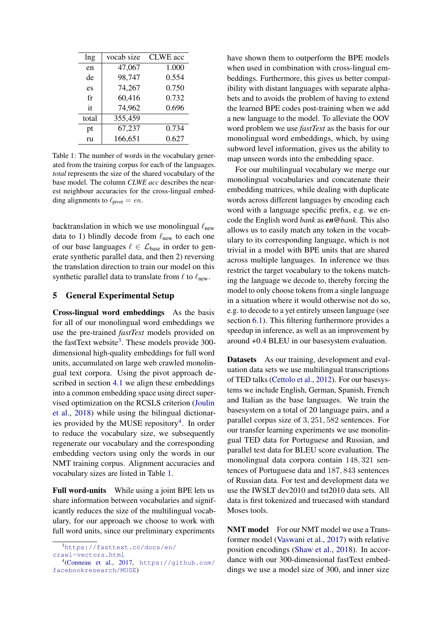<span id="page-4-2"></span>

| lng   | vocab size | <b>CLWE</b> acc |
|-------|------------|-----------------|
| en    | 47,067     | 1.000           |
| de    | 98,747     | 0.554           |
| es    | 74,267     | 0.750           |
| fr    | 60,416     | 0.732           |
| it    | 74,962     | 0.696           |
| total | 355,459    |                 |
| pt    | 67,237     | 0.734           |
| ru    | 166,651    | 0.627           |

Table 1: The number of words in the vocabulary generated from the training corpus for each of the languages. *total* represents the size of the shared vocabulary of the base model. The column *CLWE acc* describes the nearest neighbour accuracies for the cross-lingual embedding alignments to  $\ell_{\text{pivot}} = en$ .

backtranslation in which we use monolingual  $\ell_{\text{new}}$ data to 1) blindly decode from  $\ell_{\text{new}}$  to each one of our base languages  $\ell \in \mathcal{L}_{base}$  in order to generate synthetic parallel data, and then 2) reversing the translation direction to train our model on this synthetic parallel data to translate from  $\ell$  to  $\ell_{\text{new}}$ .

## 5 General Experimental Setup

Cross-lingual word embeddings As the basis for all of our monolingual word embeddings we use the pre-trained *fastText* models provided on the fastText website<sup>[3](#page-4-0)</sup>. These models provide 300dimensional high-quality embeddings for full word units, accumulated on large web crawled monolingual text corpora. Using the pivot approach described in section [4.1](#page-2-1) we align these embeddings into a common embedding space using direct supervised optimization on the RCSLS criterion [\(Joulin](#page-8-12) [et al.,](#page-8-12) [2018\)](#page-8-12) while using the bilingual dictionar-ies provided by the MUSE repository<sup>[4](#page-4-1)</sup>. In order to reduce the vocabulary size, we subsequently regenerate our vocabulary and the corresponding embedding vectors using only the words in our NMT training corpus. Alignment accuracies and vocabulary sizes are listed in Table [1.](#page-4-2)

Full word-units While using a joint BPE lets us share information between vocabularies and significantly reduces the size of the multilingual vocabulary, for our approach we choose to work with full word units, since our preliminary experiments

[crawl-vectors.html](https://fasttext.cc/docs/en/crawl-vectors.html)

have shown them to outperform the BPE models when used in combination with cross-lingual embeddings. Furthermore, this gives us better compatibility with distant languages with separate alphabets and to avoids the problem of having to extend the learned BPE codes post-training when we add a new language to the model. To alleviate the OOV word problem we use *fastText* as the basis for our monolingual word embeddings, which, by using subword level information, gives us the ability to map unseen words into the embedding space.

For our multilingual vocabulary we merge our monolingual vocabularies and concatenate their embedding matrices, while dealing with duplicate words across different languages by encoding each word with a language specific prefix, e.g. we encode the English word *bank* as *en@bank*. This also allows us to easily match any token in the vocabulary to its corresponding language, which is not trivial in a model with BPE units that are shared across multiple languages. In inference we thus restrict the target vocabulary to the tokens matching the language we decode to, thereby forcing the model to only choose tokens from a single language in a situation where it would otherwise not do so, e.g. to decode to a yet entirely unseen language (see section [6.1\)](#page-5-0). This filtering furthermore provides a speedup in inference, as well as an improvement by around +0.4 BLEU in our basesystem evaluation.

Datasets As our training, development and evaluation data sets we use multilingual transcriptions of TED talks [\(Cettolo et al.,](#page-8-15) [2012\)](#page-8-15). For our basesystems we include English, German, Spanish, French and Italian as the base languages. We train the basesystem on a total of 20 language pairs, and a parallel corpus size of 3, 251, 582 sentences. For our transfer learning experiments we use monolingual TED data for Portuguese and Russian, and parallel test data for BLEU score evaluation. The monolingual data corpora contain 148, 321 sentences of Portuguese data and 187, 843 sentences of Russian data. For test and development data we use the IWSLT dev2010 and tst2010 data sets. All data is first tokenized and truecased with standard Moses tools.

<span id="page-4-3"></span>NMT model For our NMT model we use a Transformer model [\(Vaswani et al.,](#page-9-5) [2017\)](#page-9-5) with relative position encodings [\(Shaw et al.,](#page-9-6) [2018\)](#page-9-6). In accordance with our 300-dimensional fastText embeddings we use a model size of 300, and inner size

<span id="page-4-0"></span><sup>3</sup>[https://fasttext.cc/docs/en/](https://fasttext.cc/docs/en/crawl-vectors.html)

<span id="page-4-1"></span><sup>4</sup> [\(Conneau et al.,](#page-8-14) [2017,](#page-8-14) [https://github.com/](https://github.com/facebookresearch/MUSE) [facebookresearch/MUSE](https://github.com/facebookresearch/MUSE))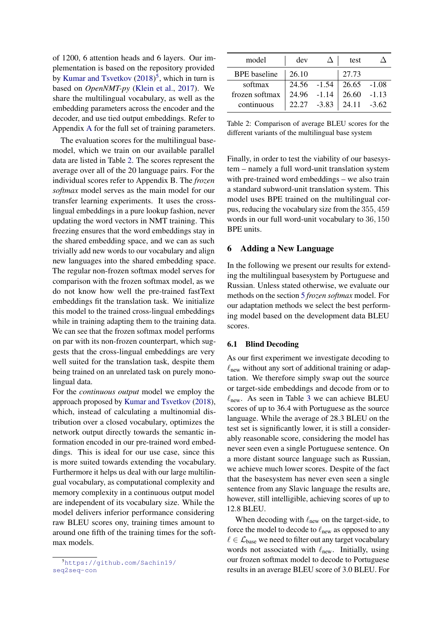of 1200, 6 attention heads and 6 layers. Our implementation is based on the repository provided by [Kumar and Tsvetkov](#page-8-16) [\(2018\)](#page-8-16)<sup>[5](#page-5-1)</sup>, which in turn is based on *OpenNMT-py* [\(Klein et al.,](#page-8-17) [2017\)](#page-8-17). We share the multilingual vocabulary, as well as the embedding parameters across the encoder and the decoder, and use tied output embeddings. Refer to Appendix [A](#page-10-0) for the full set of training parameters.

The evaluation scores for the multilingual basemodel, which we train on our available parallel data are listed in Table [2.](#page-5-2) The scores represent the average over all of the 20 language pairs. For the individual scores refer to Appendix B. The *frozen softmax* model serves as the main model for our transfer learning experiments. It uses the crosslingual embeddings in a pure lookup fashion, never updating the word vectors in NMT training. This freezing ensures that the word embeddings stay in the shared embedding space, and we can as such trivially add new words to our vocabulary and align new languages into the shared embedding space. The regular non-frozen softmax model serves for comparison with the frozen softmax model, as we do not know how well the pre-trained fastText embeddings fit the translation task. We initialize this model to the trained cross-lingual embeddings while in training adapting them to the training data. We can see that the frozen softmax model performs on par with its non-frozen counterpart, which suggests that the cross-lingual embeddings are very well suited for the translation task, despite them being trained on an unrelated task on purely monolingual data.

For the *continuous output* model we employ the approach proposed by [Kumar and Tsvetkov](#page-8-16) [\(2018\)](#page-8-16), which, instead of calculating a multinomial distribution over a closed vocabulary, optimizes the network output directly towards the semantic information encoded in our pre-trained word embeddings. This is ideal for our use case, since this is more suited towards extending the vocabulary. Furthermore it helps us deal with our large multilingual vocabulary, as computational complexity and memory complexity in a continuous output model are independent of its vocabulary size. While the model delivers inferior performance considering raw BLEU scores ony, training times amount to around one fifth of the training times for the softmax models.

<span id="page-5-2"></span>

| model               | dev         | test                            |  |
|---------------------|-------------|---------------------------------|--|
| <b>BPE</b> baseline | 26.10       | 27.73                           |  |
| softmax             |             | $24.56$ $-1.54$ $26.65$ $-1.08$ |  |
| frozen softmax      | 24.96 -1.14 | $26.60 -1.13$                   |  |
| continuous          |             | $22.27 -3.83$   24.11 -3.62     |  |

Table 2: Comparison of average BLEU scores for the different variants of the multilingual base system

Finally, in order to test the viability of our basesystem – namely a full word-unit translation system with pre-trained word embeddings – we also train a standard subword-unit translation system. This model uses BPE trained on the multilingual corpus, reducing the vocabulary size from the 355, 459 words in our full word-unit vocabulary to 36, 150 BPE units.

## 6 Adding a New Language

In the following we present our results for extending the multilingual basesystem by Portuguese and Russian. Unless stated otherwise, we evaluate our methods on the section [5](#page-4-3) *frozen softmax* model. For our adaptation methods we select the best performing model based on the development data BLEU scores.

## <span id="page-5-0"></span>6.1 Blind Decoding

As our first experiment we investigate decoding to  $\ell_{\text{new}}$  without any sort of additional training or adaptation. We therefore simply swap out the source or target-side embeddings and decode from or to  $\ell_{\text{new}}$ . As seen in Table [3](#page-6-0) we can achieve BLEU scores of up to 36.4 with Portuguese as the source language. While the average of 28.3 BLEU on the test set is significantly lower, it is still a considerably reasonable score, considering the model has never seen even a single Portuguese sentence. On a more distant source language such as Russian, we achieve much lower scores. Despite of the fact that the basesystem has never even seen a single sentence from any Slavic language the results are, however, still intelligible, achieving scores of up to 12.8 BLEU.

When decoding with  $\ell_{\text{new}}$  on the target-side, to force the model to decode to  $\ell_{\text{new}}$  as opposed to any  $\ell \in \mathcal{L}_{base}$  we need to filter out any target vocabulary words not associated with  $\ell_{\text{new}}$ . Initially, using our frozen softmax model to decode to Portuguese results in an average BLEU score of 3.0 BLEU. For

<span id="page-5-1"></span><sup>5</sup>[https://github.com/Sachin19/](https://github.com/Sachin19/seq2seq-con) [seq2seq-con](https://github.com/Sachin19/seq2seq-con)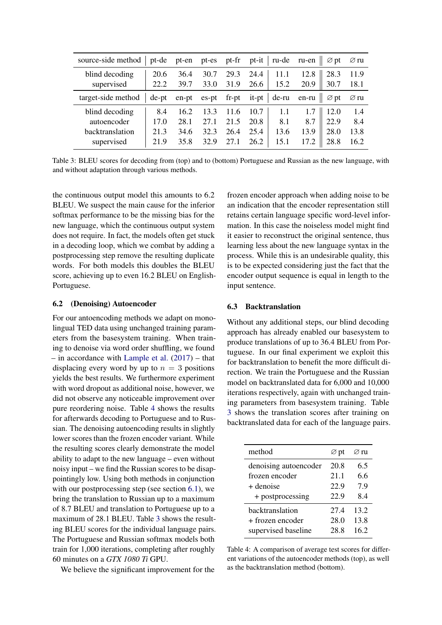<span id="page-6-0"></span>

| source-side method           | pt-de        | pt-en        | pt-es        | pt-fr        |              | $pt-it$ ru-de ru-en |              | $\varnothing$ pt | $\varnothing$ ru |
|------------------------------|--------------|--------------|--------------|--------------|--------------|---------------------|--------------|------------------|------------------|
| blind decoding<br>supervised | 20.6<br>22.2 | 36.4<br>39.7 | 30.7<br>33.0 | 29.3<br>31.9 | 24.4<br>26.6 | 15.2                | 12.8<br>20.9 | 28.3<br>30.7     | 11.9<br>18.1     |
| target-side method           | de-pt        | en-pt        | $es$ -pt     | $fr$ -pt     | $it$ -pt     | de-ru               | en-ru        | $\varnothing$ pt | ⊘ ru             |
| blind decoding               | 8.4          | 16.2         | 13.3         | 11.6         | 10.7         | 1.1                 |              | 12.0             | 1.4              |
| autoencoder                  | 17.0         | 28.1         | 27.1         | 21.5         | 20.8         | 8.1                 | 8.7          | 22.9             | 8.4              |
| backtranslation              | 21.3         | 34.6         | 32.3         | 26.4         | 25.4         | 13.6                | 13.9         | 28.0             | 13.8             |
| supervised                   | 21.9         | 35.8         | 32.9         | 27.1         | 26.2         | 15.1                | 17.2         | 28.8             | 16.2             |

Table 3: BLEU scores for decoding from (top) and to (bottom) Portuguese and Russian as the new language, with and without adaptation through various methods.

the continuous output model this amounts to 6.2 BLEU. We suspect the main cause for the inferior softmax performance to be the missing bias for the new language, which the continuous output system does not require. In fact, the models often get stuck in a decoding loop, which we combat by adding a postprocessing step remove the resulting duplicate words. For both models this doubles the BLEU score, achieving up to even 16.2 BLEU on English-Portuguese.

## 6.2 (Denoising) Autoencoder

For our antoencoding methods we adapt on monolingual TED data using unchanged training parameters from the basesystem training. When training to denoise via word order shuffling, we found – in accordance with [Lample et al.](#page-8-7) [\(2017\)](#page-8-7) – that displacing every word by up to  $n = 3$  positions yields the best results. We furthermore experiment with word dropout as additional noise, however, we did not observe any noticeable improvement over pure reordering noise. Table [4](#page-6-1) shows the results for afterwards decoding to Portuguese and to Russian. The denoising autoencoding results in slightly lower scores than the frozen encoder variant. While the resulting scores clearly demonstrate the model ability to adapt to the new language – even without noisy input – we find the Russian scores to be disappointingly low. Using both methods in conjunction with our postprocessing step (see section [6.1\)](#page-5-0), we bring the translation to Russian up to a maximum of 8.7 BLEU and translation to Portuguese up to a maximum of 28.1 BLEU. Table [3](#page-6-0) shows the resulting BLEU scores for the individual language pairs. The Portuguese and Russian softmax models both train for 1,000 iterations, completing after roughly 60 minutes on a *GTX 1080 Ti* GPU.

We believe the significant improvement for the

frozen encoder approach when adding noise to be an indication that the encoder representation still retains certain language specific word-level information. In this case the noiseless model might find it easier to reconstruct the original sentence, thus learning less about the new language syntax in the process. While this is an undesirable quality, this is to be expected considering just the fact that the encoder output sequence is equal in length to the input sentence.

## 6.3 Backtranslation

Without any additional steps, our blind decoding approach has already enabled our basesystem to produce translations of up to 36.4 BLEU from Portuguese. In our final experiment we exploit this for backtranslation to benefit the more difficult direction. We train the Portuguese and the Russian model on backtranslated data for 6,000 and 10,000 iterations respectively, again with unchanged training parameters from basesystem training. Table [3](#page-6-0) shows the translation scores after training on backtranslated data for each of the language pairs.

<span id="page-6-1"></span>

| method                 | $\varnothing$ pt | ⊘ ru |
|------------------------|------------------|------|
| denoising autoencoder  | 20.8             | 6.5  |
| frozen encoder         | 21.1             | 6.6  |
| + denoise              | 22.9             | 7.9  |
| + postprocessing       | 22.9             | 8.4  |
| <b>backtranslation</b> | 27.4             | 13.2 |
| + frozen encoder       | 28.0             | 13.8 |
| supervised baseline    | 28.8             | 162  |

Table 4: A comparison of average test scores for different variations of the autoencoder methods (top), as well as the backtranslation method (bottom).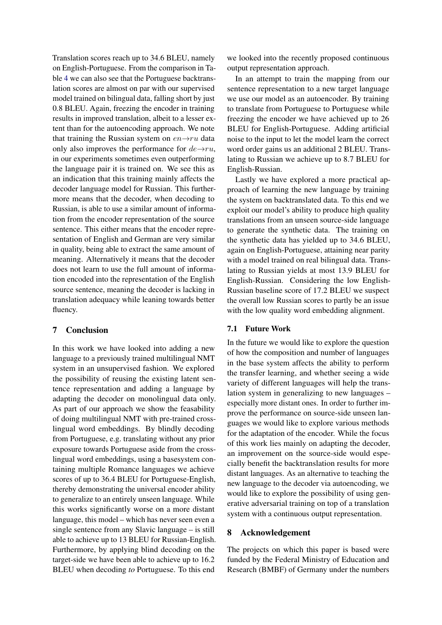Translation scores reach up to 34.6 BLEU, namely on English-Portuguese. From the comparison in Table [4](#page-6-1) we can also see that the Portuguese backtranslation scores are almost on par with our supervised model trained on bilingual data, falling short by just 0.8 BLEU. Again, freezing the encoder in training results in improved translation, albeit to a lesser extent than for the autoencoding approach. We note that training the Russian system on  $en \rightarrow ru$  data only also improves the performance for  $de \rightarrow ru$ , in our experiments sometimes even outperforming the language pair it is trained on. We see this as an indication that this training mainly affects the decoder language model for Russian. This furthermore means that the decoder, when decoding to Russian, is able to use a similar amount of information from the encoder representation of the source sentence. This either means that the encoder representation of English and German are very similar in quality, being able to extract the same amount of meaning. Alternatively it means that the decoder does not learn to use the full amount of information encoded into the representation of the English source sentence, meaning the decoder is lacking in translation adequacy while leaning towards better fluency.

# 7 Conclusion

In this work we have looked into adding a new language to a previously trained multilingual NMT system in an unsupervised fashion. We explored the possibility of reusing the existing latent sentence representation and adding a language by adapting the decoder on monolingual data only. As part of our approach we show the feasability of doing multilingual NMT with pre-trained crosslingual word embeddings. By blindly decoding from Portuguese, e.g. translating without any prior exposure towards Portuguese aside from the crosslingual word embeddings, using a basesystem containing multiple Romance languages we achieve scores of up to 36.4 BLEU for Portuguese-English, thereby demonstrating the universal encoder ability to generalize to an entirely unseen language. While this works significantly worse on a more distant language, this model – which has never seen even a single sentence from any Slavic language – is still able to achieve up to 13 BLEU for Russian-English. Furthermore, by applying blind decoding on the target-side we have been able to achieve up to 16.2 BLEU when decoding *to* Portuguese. To this end

we looked into the recently proposed continuous output representation approach.

In an attempt to train the mapping from our sentence representation to a new target language we use our model as an autoencoder. By training to translate from Portuguese to Portuguese while freezing the encoder we have achieved up to 26 BLEU for English-Portuguese. Adding artificial noise to the input to let the model learn the correct word order gains us an additional 2 BLEU. Translating to Russian we achieve up to 8.7 BLEU for English-Russian.

Lastly we have explored a more practical approach of learning the new language by training the system on backtranslated data. To this end we exploit our model's ability to produce high quality translations from an unseen source-side language to generate the synthetic data. The training on the synthetic data has yielded up to 34.6 BLEU, again on English-Portuguese, attaining near parity with a model trained on real bilingual data. Translating to Russian yields at most 13.9 BLEU for English-Russian. Considering the low English-Russian baseline score of 17.2 BLEU we suspect the overall low Russian scores to partly be an issue with the low quality word embedding alignment.

## 7.1 Future Work

In the future we would like to explore the question of how the composition and number of languages in the base system affects the ability to perform the transfer learning, and whether seeing a wide variety of different languages will help the translation system in generalizing to new languages – especially more distant ones. In order to further improve the performance on source-side unseen languages we would like to explore various methods for the adaptation of the encoder. While the focus of this work lies mainly on adapting the decoder, an improvement on the source-side would especially benefit the backtranslation results for more distant languages. As an alternative to teaching the new language to the decoder via autoencoding, we would like to explore the possibility of using generative adversarial training on top of a translation system with a continuous output representation.

## 8 Acknowledgement

The projects on which this paper is based were funded by the Federal Ministry of Education and Research (BMBF) of Germany under the numbers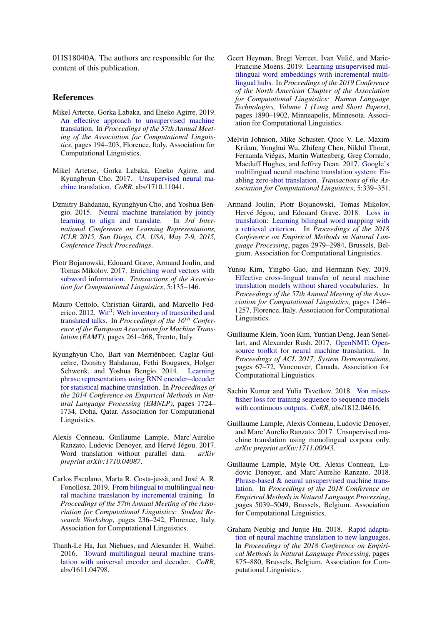01IS18040A. The authors are responsible for the content of this publication.

### References

- <span id="page-8-10"></span>Mikel Artetxe, Gorka Labaka, and Eneko Agirre. 2019. [An effective approach to unsupervised machine](https://doi.org/10.18653/v1/P19-1019) [translation.](https://doi.org/10.18653/v1/P19-1019) In *Proceedings of the 57th Annual Meeting of the Association for Computational Linguistics*, pages 194–203, Florence, Italy. Association for Computational Linguistics.
- <span id="page-8-9"></span>Mikel Artetxe, Gorka Labaka, Eneko Agirre, and Kyunghyun Cho. 2017. [Unsupervised neural ma](http://arxiv.org/abs/1710.11041)[chine translation.](http://arxiv.org/abs/1710.11041) *CoRR*, abs/1710.11041.
- <span id="page-8-1"></span>Dzmitry Bahdanau, Kyunghyun Cho, and Yoshua Bengio. 2015. [Neural machine translation by jointly](http://arxiv.org/abs/1409.0473) [learning to align and translate.](http://arxiv.org/abs/1409.0473) In *3rd International Conference on Learning Representations, ICLR 2015, San Diego, CA, USA, May 7-9, 2015, Conference Track Proceedings*.
- <span id="page-8-11"></span>Piotr Bojanowski, Edouard Grave, Armand Joulin, and Tomas Mikolov. 2017. [Enriching word vectors with](https://doi.org/10.1162/tacl_a_00051) [subword information.](https://doi.org/10.1162/tacl_a_00051) *Transactions of the Association for Computational Linguistics*, 5:135–146.
- <span id="page-8-15"></span>Mauro Cettolo, Christian Girardi, and Marcello Fed-erico. 2012. Wit<sup>3</sup>[: Web inventory of transcribed and](https://wit3.fbk.eu) [translated talks.](https://wit3.fbk.eu) In *Proceedings of the 16*th *Conference of the European Association for Machine Translation (EAMT)*, pages 261–268, Trento, Italy.
- <span id="page-8-0"></span>Kyunghyun Cho, Bart van Merriënboer, Caglar Gulcehre, Dzmitry Bahdanau, Fethi Bougares, Holger Schwenk, and Yoshua Bengio. 2014. [Learning](https://doi.org/10.3115/v1/D14-1179) [phrase representations using RNN encoder–decoder](https://doi.org/10.3115/v1/D14-1179) [for statistical machine translation.](https://doi.org/10.3115/v1/D14-1179) In *Proceedings of the 2014 Conference on Empirical Methods in Natural Language Processing (EMNLP)*, pages 1724– 1734, Doha, Qatar. Association for Computational Linguistics.
- <span id="page-8-14"></span>Alexis Conneau, Guillaume Lample, Marc'Aurelio Ranzato, Ludovic Denoyer, and Hervé Jégou. 2017. Word translation without parallel data. *arXiv preprint arXiv:1710.04087*.
- <span id="page-8-6"></span>Carlos Escolano, Marta R. Costa-jussà, and José A. R. Fonollosa. 2019. [From bilingual to multilingual neu](https://doi.org/10.18653/v1/P19-2033)[ral machine translation by incremental training.](https://doi.org/10.18653/v1/P19-2033) In *Proceedings of the 57th Annual Meeting of the Association for Computational Linguistics: Student Research Workshop*, pages 236–242, Florence, Italy. Association for Computational Linguistics.
- <span id="page-8-3"></span>Thanh-Le Ha, Jan Niehues, and Alexander H. Waibel. 2016. [Toward multilingual neural machine trans](http://arxiv.org/abs/1611.04798)[lation with universal encoder and decoder.](http://arxiv.org/abs/1611.04798) *CoRR*, abs/1611.04798.
- <span id="page-8-13"></span>Geert Heyman, Bregt Verreet, Ivan Vulić, and Marie-Francine Moens. 2019. [Learning unsupervised mul](https://doi.org/10.18653/v1/N19-1188)[tilingual word embeddings with incremental multi](https://doi.org/10.18653/v1/N19-1188)[lingual hubs.](https://doi.org/10.18653/v1/N19-1188) In *Proceedings of the 2019 Conference of the North American Chapter of the Association for Computational Linguistics: Human Language Technologies, Volume 1 (Long and Short Papers)*, pages 1890–1902, Minneapolis, Minnesota. Association for Computational Linguistics.
- <span id="page-8-2"></span>Melvin Johnson, Mike Schuster, Quoc V. Le, Maxim Krikun, Yonghui Wu, Zhifeng Chen, Nikhil Thorat, Fernanda Viégas, Martin Wattenberg, Greg Corrado, Macduff Hughes, and Jeffrey Dean. 2017. [Google's](https://doi.org/10.1162/tacl_a_00065) [multilingual neural machine translation system: En](https://doi.org/10.1162/tacl_a_00065)[abling zero-shot translation.](https://doi.org/10.1162/tacl_a_00065) *Transactions of the Association for Computational Linguistics*, 5:339–351.
- <span id="page-8-12"></span>Armand Joulin, Piotr Bojanowski, Tomas Mikolov, Hervé Jégou, and Edouard Grave. 2018. [Loss in](https://doi.org/10.18653/v1/D18-1330) [translation: Learning bilingual word mapping with](https://doi.org/10.18653/v1/D18-1330) [a retrieval criterion.](https://doi.org/10.18653/v1/D18-1330) In *Proceedings of the 2018 Conference on Empirical Methods in Natural Language Processing*, pages 2979–2984, Brussels, Belgium. Association for Computational Linguistics.
- <span id="page-8-5"></span>Yunsu Kim, Yingbo Gao, and Hermann Ney. 2019. [Effective cross-lingual transfer of neural machine](https://doi.org/10.18653/v1/P19-1120) [translation models without shared vocabularies.](https://doi.org/10.18653/v1/P19-1120) In *Proceedings of the 57th Annual Meeting of the Association for Computational Linguistics*, pages 1246– 1257, Florence, Italy. Association for Computational Linguistics.
- <span id="page-8-17"></span>Guillaume Klein, Yoon Kim, Yuntian Deng, Jean Senellart, and Alexander Rush. 2017. [OpenNMT: Open](https://www.aclweb.org/anthology/P17-4012)[source toolkit for neural machine translation.](https://www.aclweb.org/anthology/P17-4012) In *Proceedings of ACL 2017, System Demonstrations*, pages 67–72, Vancouver, Canada. Association for Computational Linguistics.
- <span id="page-8-16"></span>Sachin Kumar and Yulia Tsvetkov. 2018. [Von mises](http://arxiv.org/abs/1812.04616)[fisher loss for training sequence to sequence models](http://arxiv.org/abs/1812.04616) [with continuous outputs.](http://arxiv.org/abs/1812.04616) *CoRR*, abs/1812.04616.
- <span id="page-8-7"></span>Guillaume Lample, Alexis Conneau, Ludovic Denoyer, and Marc'Aurelio Ranzato. 2017. Unsupervised machine translation using monolingual corpora only. *arXiv preprint arXiv:1711.00043*.
- <span id="page-8-8"></span>Guillaume Lample, Myle Ott, Alexis Conneau, Ludovic Denoyer, and Marc'Aurelio Ranzato. 2018. [Phrase-based & neural unsupervised machine trans](https://doi.org/10.18653/v1/D18-1549)[lation.](https://doi.org/10.18653/v1/D18-1549) In *Proceedings of the 2018 Conference on Empirical Methods in Natural Language Processing*, pages 5039–5049, Brussels, Belgium. Association for Computational Linguistics.
- <span id="page-8-4"></span>Graham Neubig and Junjie Hu. 2018. [Rapid adapta](https://doi.org/10.18653/v1/D18-1103)[tion of neural machine translation to new languages.](https://doi.org/10.18653/v1/D18-1103) In *Proceedings of the 2018 Conference on Empirical Methods in Natural Language Processing*, pages 875–880, Brussels, Belgium. Association for Computational Linguistics.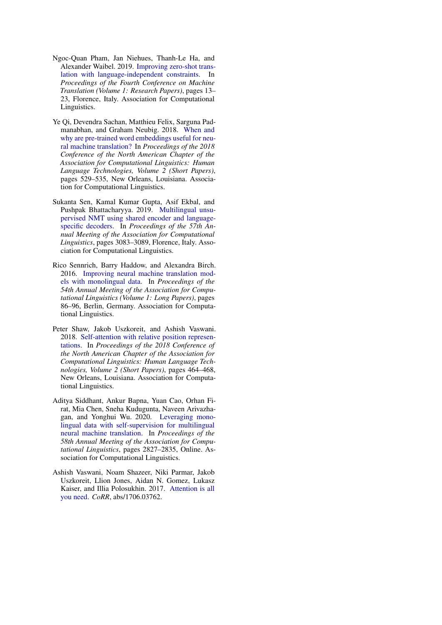- <span id="page-9-0"></span>Ngoc-Quan Pham, Jan Niehues, Thanh-Le Ha, and Alexander Waibel. 2019. [Improving zero-shot trans](https://doi.org/10.18653/v1/W19-5202)[lation with language-independent constraints.](https://doi.org/10.18653/v1/W19-5202) In *Proceedings of the Fourth Conference on Machine Translation (Volume 1: Research Papers)*, pages 13– 23, Florence, Italy. Association for Computational Linguistics.
- <span id="page-9-1"></span>Ye Qi, Devendra Sachan, Matthieu Felix, Sarguna Padmanabhan, and Graham Neubig. 2018. [When and](https://doi.org/10.18653/v1/N18-2084) [why are pre-trained word embeddings useful for neu](https://doi.org/10.18653/v1/N18-2084)[ral machine translation?](https://doi.org/10.18653/v1/N18-2084) In *Proceedings of the 2018 Conference of the North American Chapter of the Association for Computational Linguistics: Human Language Technologies, Volume 2 (Short Papers)*, pages 529–535, New Orleans, Louisiana. Association for Computational Linguistics.
- <span id="page-9-2"></span>Sukanta Sen, Kamal Kumar Gupta, Asif Ekbal, and Pushpak Bhattacharyya. 2019. [Multilingual unsu](https://doi.org/10.18653/v1/P19-1297)[pervised NMT using shared encoder and language](https://doi.org/10.18653/v1/P19-1297)[specific decoders.](https://doi.org/10.18653/v1/P19-1297) In *Proceedings of the 57th Annual Meeting of the Association for Computational Linguistics*, pages 3083–3089, Florence, Italy. Association for Computational Linguistics.
- <span id="page-9-4"></span>Rico Sennrich, Barry Haddow, and Alexandra Birch. 2016. [Improving neural machine translation mod](https://doi.org/10.18653/v1/P16-1009)[els with monolingual data.](https://doi.org/10.18653/v1/P16-1009) In *Proceedings of the 54th Annual Meeting of the Association for Computational Linguistics (Volume 1: Long Papers)*, pages 86–96, Berlin, Germany. Association for Computational Linguistics.
- <span id="page-9-6"></span>Peter Shaw, Jakob Uszkoreit, and Ashish Vaswani. 2018. [Self-attention with relative position represen](https://doi.org/10.18653/v1/N18-2074)[tations.](https://doi.org/10.18653/v1/N18-2074) In *Proceedings of the 2018 Conference of the North American Chapter of the Association for Computational Linguistics: Human Language Technologies, Volume 2 (Short Papers)*, pages 464–468, New Orleans, Louisiana. Association for Computational Linguistics.
- <span id="page-9-3"></span>Aditya Siddhant, Ankur Bapna, Yuan Cao, Orhan Firat, Mia Chen, Sneha Kudugunta, Naveen Arivazhagan, and Yonghui Wu. 2020. [Leveraging mono](https://doi.org/10.18653/v1/2020.acl-main.252)[lingual data with self-supervision for multilingual](https://doi.org/10.18653/v1/2020.acl-main.252) [neural machine translation.](https://doi.org/10.18653/v1/2020.acl-main.252) In *Proceedings of the 58th Annual Meeting of the Association for Computational Linguistics*, pages 2827–2835, Online. Association for Computational Linguistics.
- <span id="page-9-5"></span>Ashish Vaswani, Noam Shazeer, Niki Parmar, Jakob Uszkoreit, Llion Jones, Aidan N. Gomez, Lukasz Kaiser, and Illia Polosukhin. 2017. [Attention is all](http://arxiv.org/abs/1706.03762) [you need.](http://arxiv.org/abs/1706.03762) *CoRR*, abs/1706.03762.